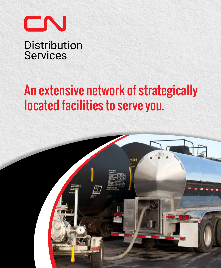

# An extensive network of strategically located facilities to serve you.

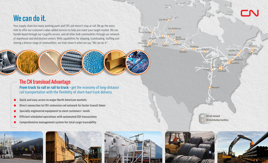# CN

**Moncton** 

Saint John

**Montreal** Quebec City

> 3 2

Hamilton **O** Brockville

Detroit

**Toronto** 

Flat Rock

Warren

**Memphis** 

# We can do it.

Your supply chain has many working parts and CN's job doesn't stop at rail. We go the extra mile to offer our customers value-added services to help you reach your target market. We can handle liquid through our CargoFlo service, and all other bulk commodities through our network of warehouse and distribution centers. With capabilities for shipping, transloading, stuffing and storing a diverse range of commodities, we truly mean it when we say "We can do it."

The CN transload Advantage **From truck to rail or rail to truck - get the economy of long-distance** rail transportation with the flexibility of short-haul truck delivery.

- **Quick and easy access to major North American markets**
- **Direct connection to CN's extensive rail network for faster transit times**
- **Specially engineered equipment to meet customers' needs**
- **Efficient scheduled operations with automated EDI transactions**
- **Comprehensive management system for total cargo traceability**







Vancouver North<br>Vancouver **Q2** Surrey

Prince George<sup>O</sup>

Ashcroft

Fort McMurray

Saskatoon

North<br>Battleford

**Scotford** 

Bienfait

Winnipeg

Atikokan

Hay River

Calgary

Edson



CN rail network

CN distribution facilities